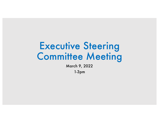# Executive Steering Committee Meeting

March 9, 2022

1-3pm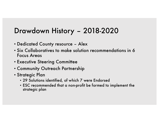### Drawdown History – 2018-2020

- Dedicated County resource Alex
- Six Collaboratives to make solution recommendations in 6 Focus Areas
- Executive Steering Committee
- Community Outreach Partnership
- Strategic Plan
	- 29 Solutions identified, of which 7 were Endorsed
	- ESC recommended that a non-profit be formed to implement the strategic plan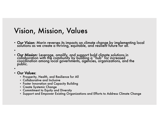### Vision, Mission, Values

- Our Vision: Marin reverses its impacts on climate change by implementing local solutions as we create a thriving, equitable, and resilient future for all.
- •
- Our Mission: Leverage, amplify, and support bold climate solutions in<br>| collaboration with the community by building a "hub" for increased coordination among local governments, agencies, organizations, and the public.
- •
- Our Values:
	- Prosperity, Health, and Resilience for All
	- Collaborative and Inclusive
	- Foster Innovation and Capacity Building
	- Create Systemic Change
	- Commitment to Equity and Diversity
	- Support and Empower Existing Organizations and Efforts to Address Climate Change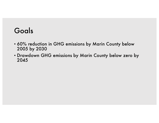### Goals

- 60% reduction in GHG emissions by Marin County below 2005 by 2030
- Drawdown GHG emissions by Marin County below zero by 2045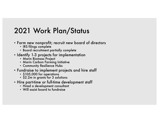## 2021 Work Plan/Status

- Form new nonprofit; recruit new board of directors
	- IRS filings complete
	- Board recruitment partially complete
- Identify 1-3 projects for implementation
	- Marin Biomass Project
	- Marin Carbon Farming Initiative
	- Community Resilience Hubs
- Fundraise to implement projects and hire staff
	- \$105,000 for operations
	- \$2.2m in grants for 3 solutions
- Hire part-time or full-time development staff
	- Hired a development consultant
	- Will assist board to fundraise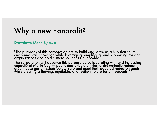### Why a new nonprofit?

#### Drawdown Marin Bylaws:

"The purposes of this corporation are to build and serve as a hub that spurs . environmental innovation while leveraging, amplifying, and supporting existing organizations and bold climate solutions Countywide.

The corporation will advance this purpose by collaborating with and increasing capacity of Marin County public and private entities to dramatically reduce greenhóuse gas emissions below zero and meet their adopted reduction goals<br>while creating a thriving, equitable, and resilient future for all residents."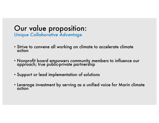### Our value proposition: *Unique Collaborative Advantage*

- Strive to convene all working on climate to accelerate climate action
- Nonprofit board empowers community members to influence our approach; true public-private partnership
- Support or lead implementation of solutions
- Leverage investment by serving as a unified voice for Marin climate action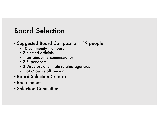### Board Selection

- Suggested Board Composition 19 people
	- 10 community members
	- 2 elected officials
	- 1 sustainability commissioner
	- 2 Supervisors
	- 3 Directors of climate-related agencies
	- 1 city/town staff person
- Board Selection Criteria
- Recruitment
- Selection Committee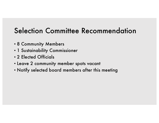### Selection Committee Recommendation

- 8 Community Members
- 1 Sustainability Commissioner
- 2 Elected Officials
- Leave 2 community member spots vacant
- Notify selected board members after this meeting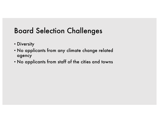## Board Selection Challenges

- Diversity
- No applicants from any climate change related agency
- No applicants from staff of the cities and towns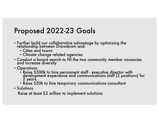### Proposed 2022-23 Goals

- Further build our collaborative advantage by optimizing the relationship between Drawdown and:
	- Cities and towns
	- Climate change related agencies
- $\bullet$  Conduct a board search to fill the two community member vacancies and increase diversity
- Operations
	- Raise \$500k to hire permanent staff executive director with development experience and communications staff (2 positions) for 2 years
	- Raise \$50k to hire temporary communications consultant
- Solutions

Raise at least \$2 million to implement solutions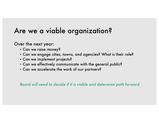### Are we a viable organization?

Over the next year:

- Can we raise money?
- Can we engage cities, towns, and agencies? What is their role?
- Can we implement projects?
- Can we effectively communicate with the general public?
- Can we accelerate the work of our partners?

*Board will need to decide if it is viable and determine path forward.*